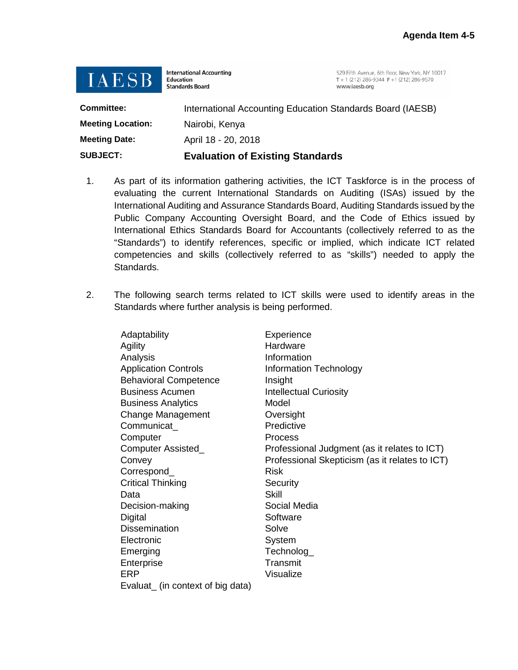

**International Accounting Education Standards Board** 

529 Fifth Avenue, 6th Floor, New York, NY 10017 T + 1 (212) 286-9344 F + 1 (212) 286-9570 www.iaesb.org

| <b>SUBJECT:</b>          | <b>Evaluation of Existing Standards</b>                    |  |
|--------------------------|------------------------------------------------------------|--|
| <b>Meeting Date:</b>     | April 18 - 20, 2018                                        |  |
| <b>Meeting Location:</b> | Nairobi, Kenya                                             |  |
| Committee:               | International Accounting Education Standards Board (IAESB) |  |

- 1. As part of its information gathering activities, the ICT Taskforce is in the process of evaluating the current International Standards on Auditing (ISAs) issued by the International Auditing and Assurance Standards Board, Auditing Standards issued by the Public Company Accounting Oversight Board, and the Code of Ethics issued by International Ethics Standards Board for Accountants (collectively referred to as the "Standards") to identify references, specific or implied, which indicate ICT related competencies and skills (collectively referred to as "skills") needed to apply the Standards.
- 2. The following search terms related to ICT skills were used to identify areas in the Standards where further analysis is being performed.

| Adaptability                      | Experience                                     |
|-----------------------------------|------------------------------------------------|
| Agility                           | Hardware                                       |
| Analysis                          | Information                                    |
| <b>Application Controls</b>       | Information Technology                         |
| <b>Behavioral Competence</b>      | Insight                                        |
| <b>Business Acumen</b>            | <b>Intellectual Curiosity</b>                  |
| <b>Business Analytics</b>         | Model                                          |
| Change Management                 | Oversight                                      |
| Communicat                        | Predictive                                     |
| Computer                          | Process                                        |
| Computer Assisted_                | Professional Judgment (as it relates to ICT)   |
| Convey                            | Professional Skepticism (as it relates to ICT) |
| Correspond_                       | <b>Risk</b>                                    |
| <b>Critical Thinking</b>          | Security                                       |
| Data                              | Skill                                          |
| Decision-making                   | Social Media                                   |
| Digital                           | Software                                       |
| <b>Dissemination</b>              | Solve                                          |
| Electronic                        | System                                         |
| Emerging                          | Technolog_                                     |
| Enterprise                        | Transmit                                       |
| ERP                               | Visualize                                      |
| Evaluat_ (in context of big data) |                                                |